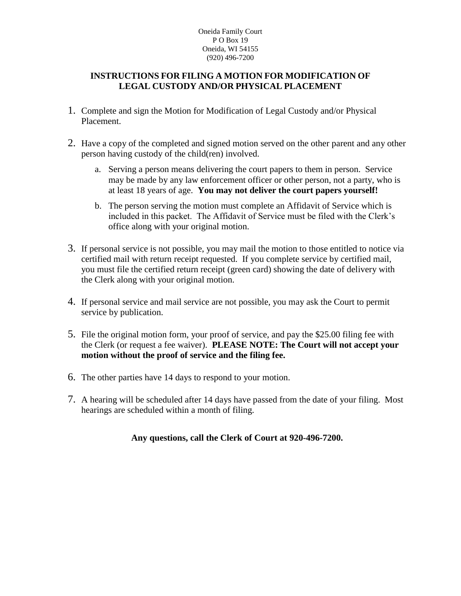#### Oneida Family Court P O Box 19 Oneida, WI 54155 (920) 496-7200

### **INSTRUCTIONS FOR FILING A MOTION FOR MODIFICATION OF LEGAL CUSTODY AND/OR PHYSICAL PLACEMENT**

- 1. Complete and sign the Motion for Modification of Legal Custody and/or Physical Placement.
- 2. Have a copy of the completed and signed motion served on the other parent and any other person having custody of the child(ren) involved.
	- a. Serving a person means delivering the court papers to them in person. Service may be made by any law enforcement officer or other person, not a party, who is at least 18 years of age. **You may not deliver the court papers yourself!**
	- b. The person serving the motion must complete an Affidavit of Service which is included in this packet. The Affidavit of Service must be filed with the Clerk's office along with your original motion.
- 3. If personal service is not possible, you may mail the motion to those entitled to notice via certified mail with return receipt requested. If you complete service by certified mail, you must file the certified return receipt (green card) showing the date of delivery with the Clerk along with your original motion.
- 4. If personal service and mail service are not possible, you may ask the Court to permit service by publication.
- 5. File the original motion form, your proof of service, and pay the \$25.00 filing fee with the Clerk (or request a fee waiver). **PLEASE NOTE: The Court will not accept your motion without the proof of service and the filing fee.**
- 6. The other parties have 14 days to respond to your motion.
- 7. A hearing will be scheduled after 14 days have passed from the date of your filing. Most hearings are scheduled within a month of filing.

## **Any questions, call the Clerk of Court at 920-496-7200.**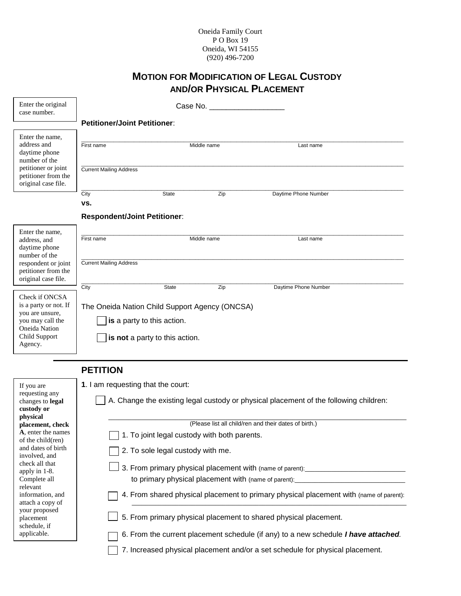#### Oneida Family Court P O Box 19 Oneida, WI 54155 (920) 496-7200

# **MOTION FOR MODIFICATION OF LEGAL CUSTODY AND/OR PHYSICAL PLACEMENT**

| Enter the original<br>case number.                                                                                                     |                                                                                                                        |              | Case No.    |                      |  |
|----------------------------------------------------------------------------------------------------------------------------------------|------------------------------------------------------------------------------------------------------------------------|--------------|-------------|----------------------|--|
|                                                                                                                                        | <b>Petitioner/Joint Petitioner:</b>                                                                                    |              |             |                      |  |
| Enter the name,<br>address and<br>daytime phone<br>number of the<br>petitioner or joint<br>petitioner from the<br>original case file.  | First name<br><b>Current Mailing Address</b>                                                                           |              | Middle name | Last name            |  |
|                                                                                                                                        | City                                                                                                                   | <b>State</b> | Zip         | Daytime Phone Number |  |
|                                                                                                                                        | VS.<br><b>Respondent/Joint Petitioner:</b>                                                                             |              |             |                      |  |
| Enter the name,<br>address, and<br>daytime phone<br>number of the<br>respondent or joint<br>petitioner from the<br>original case file. | First name<br><b>Current Mailing Address</b>                                                                           |              | Middle name | Last name            |  |
| Check if ONCSA<br>is a party or not. If<br>you are unsure,<br>you may call the<br>Oneida Nation<br>Child Support<br>Agency.            | City<br>The Oneida Nation Child Support Agency (ONCSA)<br>is a party to this action.<br>is not a party to this action. | <b>State</b> | Zip         | Daytime Phone Number |  |
|                                                                                                                                        | <b>PETITION</b>                                                                                                        |              |             |                      |  |
| If you are<br>requesting any                                                                                                           | 1. I am requesting that the court:<br>$\overline{\phantom{0}}$<br>$\sim$                                               |              |             |                      |  |

| If you are                                 | 1. I am requesting that the court:                                                        |
|--------------------------------------------|-------------------------------------------------------------------------------------------|
| requesting any                             |                                                                                           |
| changes to <b>legal</b><br>custody or      | A. Change the existing legal custody or physical placement of the following children:     |
| physical                                   |                                                                                           |
| placement, check                           | (Please list all child/ren and their dates of birth.)                                     |
| A, enter the names<br>of the child(ren)    | 1. To joint legal custody with both parents.                                              |
| and dates of birth<br>involved, and        | 2. To sole legal custody with me.                                                         |
| check all that<br>apply in 1-8.            | 3. From primary physical placement with (name of parent):                                 |
| Complete all<br>relevant                   | to primary physical placement with (name of parent):                                      |
| information, and<br>attach a copy of       | 4. From shared physical placement to primary physical placement with (name of parent):    |
| your proposed<br>placement<br>schedule, if | 5. From primary physical placement to shared physical placement.                          |
| applicable.                                | 6. From the current placement schedule (if any) to a new schedule <i>I have attached.</i> |
|                                            | 7. Increased physical placement and/or a set schedule for physical placement.             |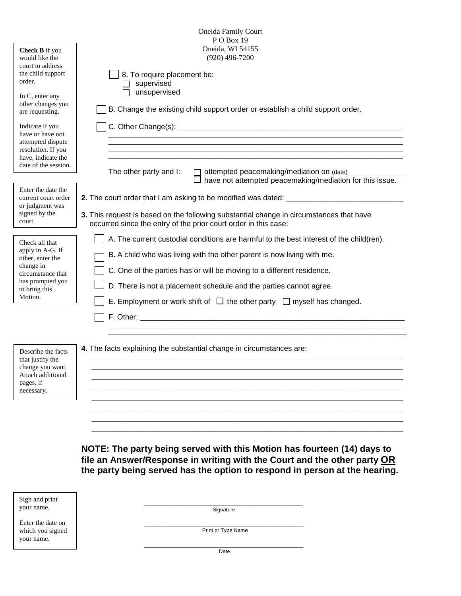|                                                               | Oneida Family Court<br>PO Box 19                                                                                                                           |  |  |  |  |
|---------------------------------------------------------------|------------------------------------------------------------------------------------------------------------------------------------------------------------|--|--|--|--|
| Check B if you<br>would like the<br>court to address          | Oneida, WI 54155<br>$(920)$ 496-7200                                                                                                                       |  |  |  |  |
| the child support<br>order.                                   | 8. To require placement be:<br>supervised                                                                                                                  |  |  |  |  |
| In C, enter any<br>other changes you                          | unsupervised<br>B. Change the existing child support order or establish a child support order.                                                             |  |  |  |  |
| are requesting.<br>Indicate if you<br>have or have not        |                                                                                                                                                            |  |  |  |  |
| attempted dispute<br>resolution. If you<br>have, indicate the |                                                                                                                                                            |  |  |  |  |
| date of the session.                                          | The other party and I:<br>attempted peacemaking/mediation on (date) _________<br>have not attempted peacemaking/mediation for this issue.                  |  |  |  |  |
| Enter the date the<br>current court order<br>or judgment was  | 2. The court order that I am asking to be modified was dated: ___________________                                                                          |  |  |  |  |
| signed by the<br>court.                                       | 3. This request is based on the following substantial change in circumstances that have<br>occurred since the entry of the prior court order in this case: |  |  |  |  |
| Check all that<br>apply in A-G. If                            | A. The current custodial conditions are harmful to the best interest of the child(ren).                                                                    |  |  |  |  |
| other, enter the<br>change in                                 | B. A child who was living with the other parent is now living with me.<br>C. One of the parties has or will be moving to a different residence.            |  |  |  |  |
| circumstance that<br>has prompted you<br>to bring this        | D. There is not a placement schedule and the parties cannot agree.                                                                                         |  |  |  |  |
| Motion.                                                       | E. Employment or work shift of $\Box$ the other party $\Box$ myself has changed.                                                                           |  |  |  |  |
|                                                               |                                                                                                                                                            |  |  |  |  |
| Describe the facts                                            | 4. The facts explaining the substantial change in circumstances are:                                                                                       |  |  |  |  |
| that justify the<br>change you want.<br>Attach additional     |                                                                                                                                                            |  |  |  |  |
| pages, if<br>necessary.                                       |                                                                                                                                                            |  |  |  |  |
|                                                               |                                                                                                                                                            |  |  |  |  |
|                                                               |                                                                                                                                                            |  |  |  |  |

**NOTE: The party being served with this Motion has fourteen (14) days to file an Answer/Response in writing with the Court and the other party OR the party being served has the option to respond in person at the hearing.**

| Sign and print                 |                    |  |
|--------------------------------|--------------------|--|
| your name.                     | Signature          |  |
| Enter the date on              |                    |  |
| which you signed<br>your name. | Print or Type Name |  |
|                                | Date               |  |